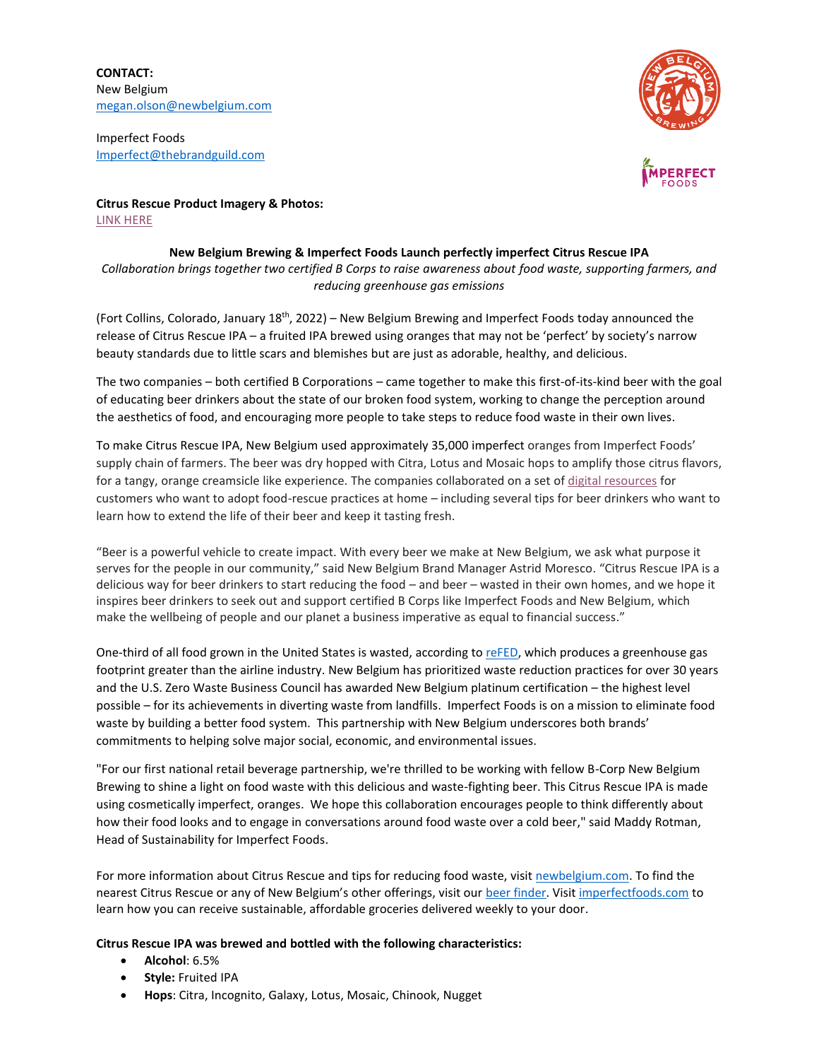**CONTACT:** New Belgium [megan.olson@newbelgium.com](mailto:megan.olson@newbelgium.com)

Imperfect Foods [Imperfect@thebrandguild.com](mailto:Imperfect@thebrandguild.com)



**Citrus Rescue Product Imagery & Photos:**  [LINK HERE](https://urldefense.com/v3/__https:/nam10.safelinks.protection.outlook.com/?url=https*3A*2F*2Fassets.newbelgium.com*2Fshare*2F4CD55D85-1F48-49EF-BCBA3BD4433A05DD*2F&data=04*7C01*7Cmegan.olson*40newbelgium.com*7C70e09fb36ed04b8e73fe08d9c0d336fe*7Cdce777a827d945379c3df1ac6346fda5*7C0*7C0*7C637752835676768098*7CUnknown*7CTWFpbGZsb3d8eyJWIjoiMC4wLjAwMDAiLCJQIjoiV2luMzIiLCJBTiI6Ik1haWwiLCJXVCI6Mn0*3D*7C3000&sdata=NQIeJbdifgI*2FC3iPulGzLE*2BUCpeDup8pllbs*2FgkFiiQ*3D&reserved=0__;JSUlJSUlJSUlJSUlJSUlJSUlJSUlJQ!!JGfG5CQBuAEU2HmfLCc!HGTPwI68HmVeJ3vL16MiuXVeU2MMxxBTpS-vl7nii2mQhVuNUcbWg38PfO6Wwq0vSNbl$)

## **New Belgium Brewing & Imperfect Foods Launch perfectly imperfect Citrus Rescue IPA**

*Collaboration brings together two certified B Corps to raise awareness about food waste, supporting farmers, and reducing greenhouse gas emissions* 

(Fort Collins, Colorado, January 18<sup>th</sup>, 2022) – New Belgium Brewing and Imperfect Foods today announced the release of Citrus Rescue IPA – a fruited IPA brewed using oranges that may not be 'perfect' by society's narrow beauty standards due to little scars and blemishes but are just as adorable, healthy, and delicious.

The two companies – both certified B Corporations – came together to make this first-of-its-kind beer with the goal of educating beer drinkers about the state of our broken food system, working to change the perception around the aesthetics of food, and encouraging more people to take steps to reduce food waste in their own lives.

To make Citrus Rescue IPA, New Belgium used approximately 35,000 imperfect oranges from Imperfect Foods' supply chain of farmers. The beer was dry hopped with Citra, Lotus and Mosaic hops to amplify those citrus flavors, for a tangy, orange creamsicle like experience. The companies collaborated on a set o[f digital resources](https://www.newbelgium.com/beer/citrus-rescue/) for customers who want to adopt food-rescue practices at home – including several tips for beer drinkers who want to learn how to extend the life of their beer and keep it tasting fresh.

"Beer is a powerful vehicle to create impact. With every beer we make at New Belgium, we ask what purpose it serves for the people in our community," said New Belgium Brand Manager Astrid Moresco. "Citrus Rescue IPA is a delicious way for beer drinkers to start reducing the food – and beer – wasted in their own homes, and we hope it inspires beer drinkers to seek out and support certified B Corps like Imperfect Foods and New Belgium, which make the wellbeing of people and our planet a business imperative as equal to financial success."

One-third of all food grown in the United States is wasted, according to [reFED,](https://www.washingtonpost.com/climate-solutions/2021/02/25/climate-curious-food-waste/) which produces a greenhouse gas footprint greater than the airline industry. New Belgium has prioritized waste reduction practices for over 30 years and the U.S. Zero Waste Business Council has awarded New Belgium platinum certification – the highest level possible – for its achievements in diverting waste from landfills. Imperfect Foods is on a mission to eliminate food waste by building a better food system. This partnership with New Belgium underscores both brands' commitments to helping solve major social, economic, and environmental issues.

"For our first national retail beverage partnership, we're thrilled to be working with fellow B-Corp New Belgium Brewing to shine a light on food waste with this delicious and waste-fighting beer. This Citrus Rescue IPA is made using cosmetically imperfect, oranges. We hope this collaboration encourages people to think differently about how their food looks and to engage in conversations around food waste over a cold beer," said Maddy Rotman, Head of Sustainability for Imperfect Foods.

For more information about Citrus Rescue and tips for reducing food waste, visit [newbelgium.com.](https://www.newbelgium.com/) To find the nearest Citrus Rescue or any of New Belgium's other offerings, visit our [beer finder.](https://www.newbelgium.com/beer/finder/) Visit [imperfectfoods.com](https://www.imperfectfoods.com/) to learn how you can receive sustainable, affordable groceries delivered weekly to your door.

## **Citrus Rescue IPA was brewed and bottled with the following characteristics:**

- **Alcohol**: 6.5%
- **Style:** Fruited IPA
- **Hops**: Citra, Incognito, Galaxy, Lotus, Mosaic, Chinook, Nugget